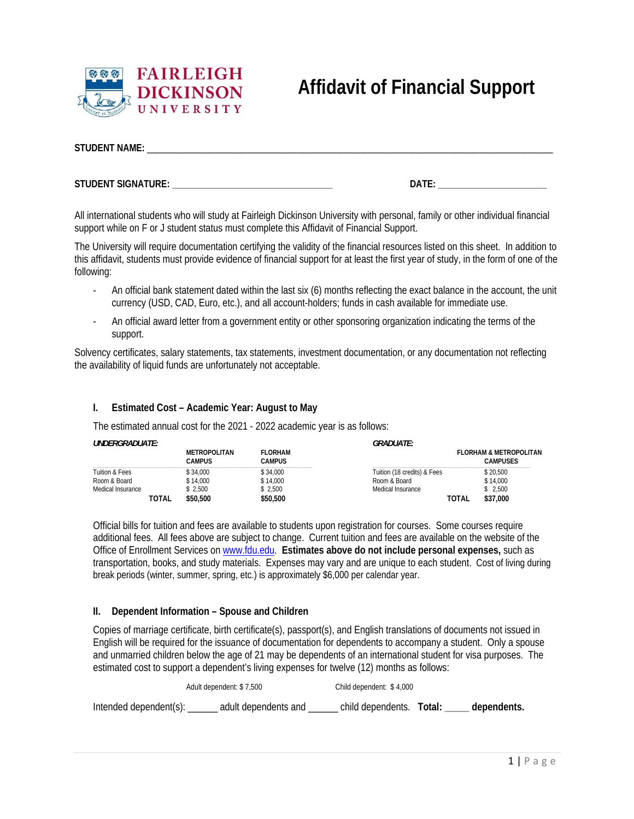

## **STUDENT NAME:** \_\_\_\_\_\_\_\_\_\_\_\_\_\_\_\_\_\_\_\_\_\_\_\_\_\_\_\_\_\_\_\_\_\_\_\_\_\_\_\_\_\_\_\_\_\_\_\_\_\_\_\_\_\_\_\_\_\_\_\_\_\_\_\_\_\_\_\_\_\_\_\_\_\_\_\_\_\_\_\_\_\_\_\_\_\_

**STUDENT SIGNATURE: \_\_\_\_\_\_\_\_\_\_\_\_\_\_\_\_\_\_\_\_\_\_\_\_\_\_\_\_\_\_\_\_\_\_ DATE: \_\_\_\_\_\_\_\_\_\_\_\_\_\_\_\_\_\_\_\_\_\_\_** 

All international students who will study at Fairleigh Dickinson University with personal, family or other individual financial support while on F or J student status must complete this Affidavit of Financial Support.

The University will require documentation certifying the validity of the financial resources listed on this sheet. In addition to this affidavit, students must provide evidence of financial support for at least the first year of study, in the form of one of the following:

- An official bank statement dated within the last six (6) months reflecting the exact balance in the account, the unit currency (USD, CAD, Euro, etc.), and all account-holders; funds in cash available for immediate use.
- An official award letter from a government entity or other sponsoring organization indicating the terms of the support.

Solvency certificates, salary statements, tax statements, investment documentation, or any documentation not reflecting the availability of liquid funds are unfortunately not acceptable.

## **I. Estimated Cost – Academic Year: August to May**

The estimated annual cost for the 2021 - 2022 academic year is as follows:

| <i>UNDERGRADUATE:</i> |       |                               | <i><b>GRADUATE:</b></i>  |                             |              |                                                      |
|-----------------------|-------|-------------------------------|--------------------------|-----------------------------|--------------|------------------------------------------------------|
|                       |       | <b>METROPOLITAN</b><br>CAMPUS | <b>FLORHAM</b><br>CAMPUS |                             |              | <b>FLORHAM &amp; METROPOLITAN</b><br><b>CAMPUSES</b> |
| Tuition & Fees        |       | \$34.000                      | \$34,000                 | Tuition (18 credits) & Fees |              | \$20.500                                             |
| Room & Board          |       | \$14.000                      | \$14.000                 | Room & Board                |              | \$14.000                                             |
| Medical Insurance     |       | \$2.500                       | \$2.500                  | Medical Insurance           |              | \$2.500                                              |
|                       | TOTAL | \$50,500                      | \$50,500                 |                             | <b>TOTAL</b> | \$37,000                                             |

Official bills for tuition and fees are available to students upon registration for courses. Some courses require additional fees. All fees above are subject to change. Current tuition and fees are available on the website of the Office of Enrollment Services on www.fdu.edu. **Estimates above do not include personal expenses,** such as transportation, books, and study materials. Expenses may vary and are unique to each student. Cost of living during break periods (winter, summer, spring, etc.) is approximately \$6,000 per calendar year.

## **II. Dependent Information – Spouse and Children**

Copies of marriage certificate, birth certificate(s), passport(s), and English translations of documents not issued in English will be required for the issuance of documentation for dependents to accompany a student. Only a spouse and unmarried children below the age of 21 may be dependents of an international student for visa purposes. The estimated cost to support a dependent's living expenses for twelve (12) months as follows:

|                             | Adult dependent: \$7,500 | Child dependent: \$4,000 |                                      |  |
|-----------------------------|--------------------------|--------------------------|--------------------------------------|--|
| Intended dependent(s): ____ | adult dependents and     |                          | child dependents. Total: dependents. |  |